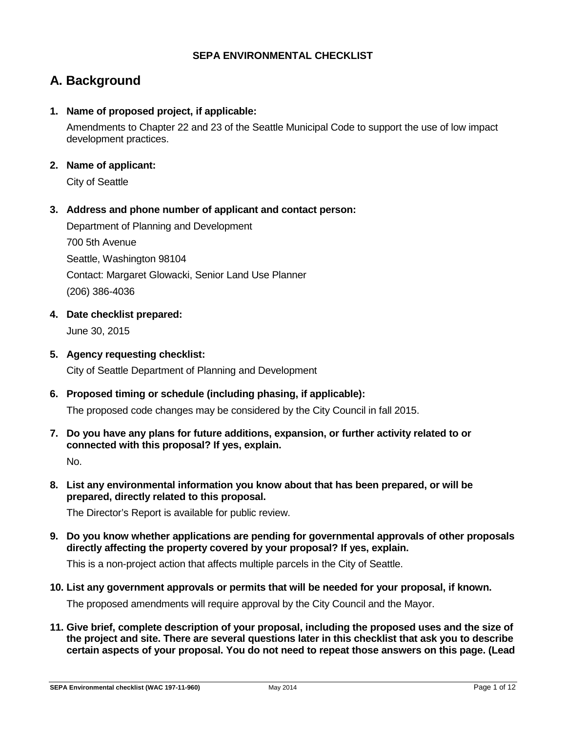## **SEPA ENVIRONMENTAL CHECKLIST**

## **A. Background**

## **1. Name of proposed project, if applicable:**

Amendments to Chapter 22 and 23 of the Seattle Municipal Code to support the use of low impact development practices.

## **2. Name of applicant:**

City of Seattle

## **3. Address and phone number of applicant and contact person:**

Department of Planning and Development 700 5th Avenue Seattle, Washington 98104 Contact: Margaret Glowacki, Senior Land Use Planner (206) 386-4036

## **4. Date checklist prepared:**

June 30, 2015

## **5. Agency requesting checklist:**

City of Seattle Department of Planning and Development

**6. Proposed timing or schedule (including phasing, if applicable):**

The proposed code changes may be considered by the City Council in fall 2015.

**7. Do you have any plans for future additions, expansion, or further activity related to or connected with this proposal? If yes, explain.**

No.

**8. List any environmental information you know about that has been prepared, or will be prepared, directly related to this proposal.**

The Director's Report is available for public review.

**9. Do you know whether applications are pending for governmental approvals of other proposals directly affecting the property covered by your proposal? If yes, explain.**

This is a non-project action that affects multiple parcels in the City of Seattle.

**10. List any government approvals or permits that will be needed for your proposal, if known.**

The proposed amendments will require approval by the City Council and the Mayor.

**11. Give brief, complete description of your proposal, including the proposed uses and the size of the project and site. There are several questions later in this checklist that ask you to describe certain aspects of your proposal. You do not need to repeat those answers on this page. (Lead**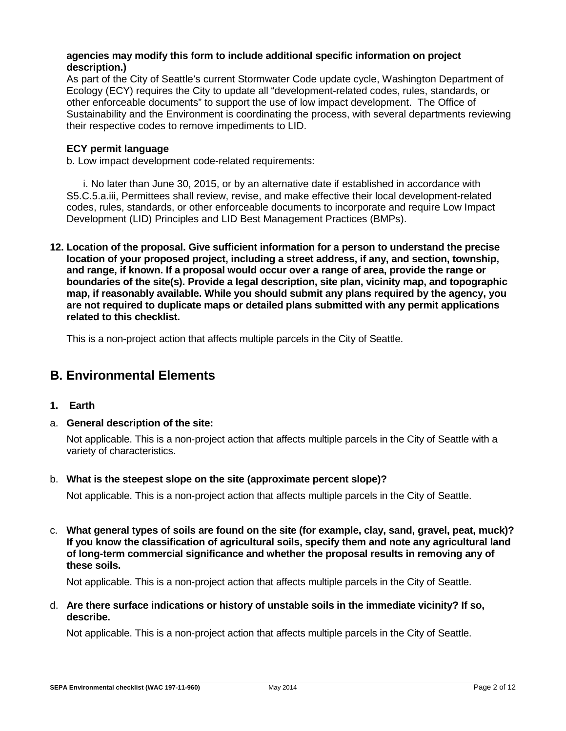#### **agencies may modify this form to include additional specific information on project description.)**

As part of the City of Seattle's current Stormwater Code update cycle, Washington Department of Ecology (ECY) requires the City to update all "development-related codes, rules, standards, or other enforceable documents" to support the use of low impact development. The Office of Sustainability and the Environment is coordinating the process, with several departments reviewing their respective codes to remove impediments to LID.

### **ECY permit language**

b. Low impact development code-related requirements:

i. No later than June 30, 2015, or by an alternative date if established in accordance with S5.C.5.a.iii, Permittees shall review, revise, and make effective their local development-related codes, rules, standards, or other enforceable documents to incorporate and require Low Impact Development (LID) Principles and LID Best Management Practices (BMPs).

**12. Location of the proposal. Give sufficient information for a person to understand the precise location of your proposed project, including a street address, if any, and section, township, and range, if known. If a proposal would occur over a range of area, provide the range or boundaries of the site(s). Provide a legal description, site plan, vicinity map, and topographic map, if reasonably available. While you should submit any plans required by the agency, you are not required to duplicate maps or detailed plans submitted with any permit applications related to this checklist.**

This is a non-project action that affects multiple parcels in the City of Seattle.

## **B. Environmental Elements**

- **1. Earth**
- a. **General description of the site:**

Not applicable. This is a non-project action that affects multiple parcels in the City of Seattle with a variety of characteristics.

b. **What is the steepest slope on the site (approximate percent slope)?**

Not applicable. This is a non-project action that affects multiple parcels in the City of Seattle.

c. **What general types of soils are found on the site (for example, clay, sand, gravel, peat, muck)? If you know the classification of agricultural soils, specify them and note any agricultural land of long-term commercial significance and whether the proposal results in removing any of these soils.**

Not applicable. This is a non-project action that affects multiple parcels in the City of Seattle.

d. **Are there surface indications or history of unstable soils in the immediate vicinity? If so, describe.**

Not applicable. This is a non-project action that affects multiple parcels in the City of Seattle.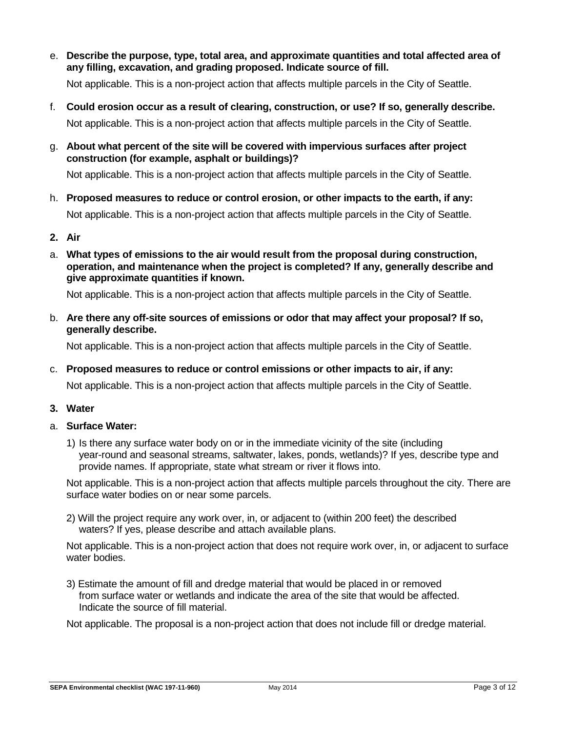e. **Describe the purpose, type, total area, and approximate quantities and total affected area of any filling, excavation, and grading proposed. Indicate source of fill.**

Not applicable. This is a non-project action that affects multiple parcels in the City of Seattle.

- f. **Could erosion occur as a result of clearing, construction, or use? If so, generally describe.** Not applicable. This is a non-project action that affects multiple parcels in the City of Seattle.
- g. **About what percent of the site will be covered with impervious surfaces after project construction (for example, asphalt or buildings)?**

Not applicable. This is a non-project action that affects multiple parcels in the City of Seattle.

- h. **Proposed measures to reduce or control erosion, or other impacts to the earth, if any:** Not applicable. This is a non-project action that affects multiple parcels in the City of Seattle.
- **2. Air**
- a. **What types of emissions to the air would result from the proposal during construction, operation, and maintenance when the project is completed? If any, generally describe and give approximate quantities if known.**

Not applicable. This is a non-project action that affects multiple parcels in the City of Seattle.

b. **Are there any off-site sources of emissions or odor that may affect your proposal? If so, generally describe.**

Not applicable. This is a non-project action that affects multiple parcels in the City of Seattle.

c. **Proposed measures to reduce or control emissions or other impacts to air, if any:**

Not applicable. This is a non-project action that affects multiple parcels in the City of Seattle.

- **3. Water**
- a. **Surface Water:**
	- 1) Is there any surface water body on or in the immediate vicinity of the site (including year-round and seasonal streams, saltwater, lakes, ponds, wetlands)? If yes, describe type and provide names. If appropriate, state what stream or river it flows into.

Not applicable. This is a non-project action that affects multiple parcels throughout the city. There are surface water bodies on or near some parcels.

2) Will the project require any work over, in, or adjacent to (within 200 feet) the described waters? If yes, please describe and attach available plans.

Not applicable. This is a non-project action that does not require work over, in, or adjacent to surface water bodies.

3) Estimate the amount of fill and dredge material that would be placed in or removed from surface water or wetlands and indicate the area of the site that would be affected. Indicate the source of fill material.

Not applicable. The proposal is a non-project action that does not include fill or dredge material.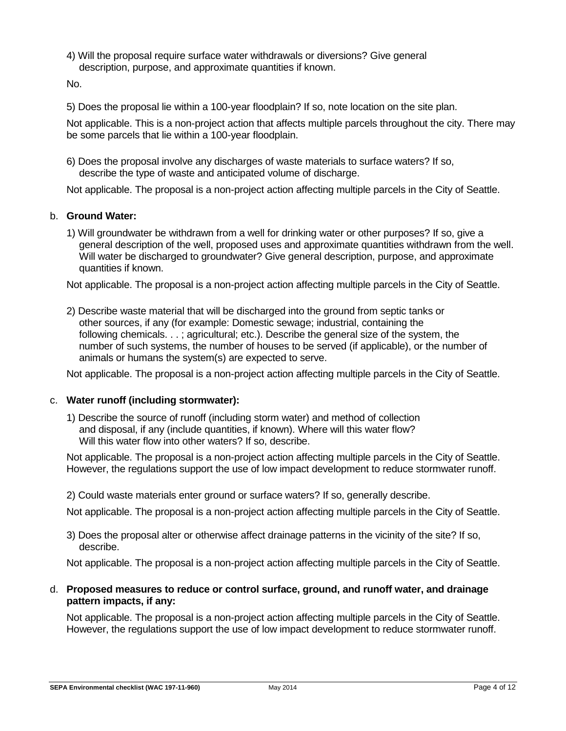4) Will the proposal require surface water withdrawals or diversions? Give general description, purpose, and approximate quantities if known.

No.

5) Does the proposal lie within a 100-year floodplain? If so, note location on the site plan.

Not applicable. This is a non-project action that affects multiple parcels throughout the city. There may be some parcels that lie within a 100-year floodplain.

6) Does the proposal involve any discharges of waste materials to surface waters? If so, describe the type of waste and anticipated volume of discharge.

Not applicable. The proposal is a non-project action affecting multiple parcels in the City of Seattle.

#### b. **Ground Water:**

1) Will groundwater be withdrawn from a well for drinking water or other purposes? If so, give a general description of the well, proposed uses and approximate quantities withdrawn from the well. Will water be discharged to groundwater? Give general description, purpose, and approximate quantities if known.

Not applicable. The proposal is a non-project action affecting multiple parcels in the City of Seattle.

2) Describe waste material that will be discharged into the ground from septic tanks or other sources, if any (for example: Domestic sewage; industrial, containing the following chemicals. . . ; agricultural; etc.). Describe the general size of the system, the number of such systems, the number of houses to be served (if applicable), or the number of animals or humans the system(s) are expected to serve.

Not applicable. The proposal is a non-project action affecting multiple parcels in the City of Seattle.

#### c. **Water runoff (including stormwater):**

1) Describe the source of runoff (including storm water) and method of collection and disposal, if any (include quantities, if known). Where will this water flow? Will this water flow into other waters? If so, describe.

Not applicable. The proposal is a non-project action affecting multiple parcels in the City of Seattle. However, the regulations support the use of low impact development to reduce stormwater runoff.

2) Could waste materials enter ground or surface waters? If so, generally describe.

Not applicable. The proposal is a non-project action affecting multiple parcels in the City of Seattle.

3) Does the proposal alter or otherwise affect drainage patterns in the vicinity of the site? If so, describe.

Not applicable. The proposal is a non-project action affecting multiple parcels in the City of Seattle.

#### d. **Proposed measures to reduce or control surface, ground, and runoff water, and drainage pattern impacts, if any:**

Not applicable. The proposal is a non-project action affecting multiple parcels in the City of Seattle. However, the regulations support the use of low impact development to reduce stormwater runoff.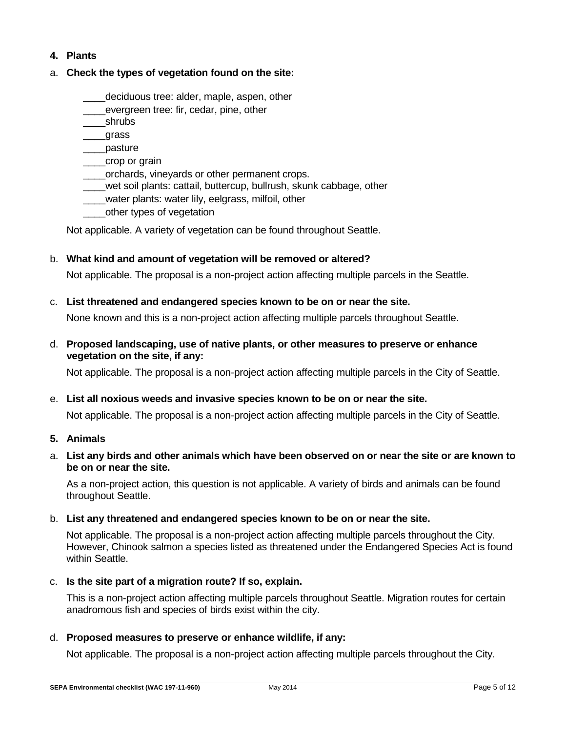## **4. Plants**

## a. **Check the types of vegetation found on the site:**

- deciduous tree: alder, maple, aspen, other
- evergreen tree: fir, cedar, pine, other
- \_\_\_\_shrubs
- \_\_\_\_grass
- \_\_\_\_pasture
- \_\_\_\_crop or grain
- \_\_\_\_orchards, vineyards or other permanent crops.
- \_\_\_\_wet soil plants: cattail, buttercup, bullrush, skunk cabbage, other
- water plants: water lily, eelgrass, milfoil, other
- \_\_\_\_other types of vegetation

Not applicable. A variety of vegetation can be found throughout Seattle.

b. **What kind and amount of vegetation will be removed or altered?**

Not applicable. The proposal is a non-project action affecting multiple parcels in the Seattle.

c. **List threatened and endangered species known to be on or near the site.**

None known and this is a non-project action affecting multiple parcels throughout Seattle.

d. **Proposed landscaping, use of native plants, or other measures to preserve or enhance vegetation on the site, if any:**

Not applicable. The proposal is a non-project action affecting multiple parcels in the City of Seattle.

e. **List all noxious weeds and invasive species known to be on or near the site.**

Not applicable. The proposal is a non-project action affecting multiple parcels in the City of Seattle.

- **5. Animals**
- a. **List any birds and other animals which have been observed on or near the site or are known to be on or near the site.**

As a non-project action, this question is not applicable. A variety of birds and animals can be found throughout Seattle.

b. **List any threatened and endangered species known to be on or near the site.**

Not applicable. The proposal is a non-project action affecting multiple parcels throughout the City. However, Chinook salmon a species listed as threatened under the Endangered Species Act is found within Seattle.

c. **Is the site part of a migration route? If so, explain.**

This is a non-project action affecting multiple parcels throughout Seattle. Migration routes for certain anadromous fish and species of birds exist within the city.

d. **Proposed measures to preserve or enhance wildlife, if any:** 

Not applicable. The proposal is a non-project action affecting multiple parcels throughout the City.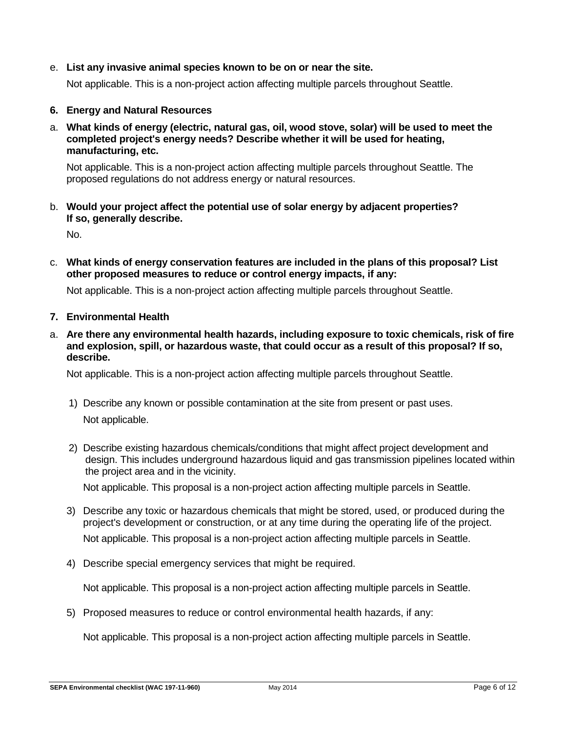e. **List any invasive animal species known to be on or near the site.**

Not applicable. This is a non-project action affecting multiple parcels throughout Seattle.

- **6. Energy and Natural Resources**
- a. **What kinds of energy (electric, natural gas, oil, wood stove, solar) will be used to meet the completed project's energy needs? Describe whether it will be used for heating, manufacturing, etc.**

Not applicable. This is a non-project action affecting multiple parcels throughout Seattle. The proposed regulations do not address energy or natural resources.

b. **Would your project affect the potential use of solar energy by adjacent properties? If so, generally describe.**

No.

c. **What kinds of energy conservation features are included in the plans of this proposal? List other proposed measures to reduce or control energy impacts, if any:**

Not applicable. This is a non-project action affecting multiple parcels throughout Seattle.

- **7. Environmental Health**
- a. **Are there any environmental health hazards, including exposure to toxic chemicals, risk of fire and explosion, spill, or hazardous waste, that could occur as a result of this proposal? If so, describe.**

Not applicable. This is a non-project action affecting multiple parcels throughout Seattle.

- 1) Describe any known or possible contamination at the site from present or past uses. Not applicable.
- 2) Describe existing hazardous chemicals/conditions that might affect project development and design. This includes underground hazardous liquid and gas transmission pipelines located within the project area and in the vicinity.

Not applicable. This proposal is a non-project action affecting multiple parcels in Seattle.

- 3) Describe any toxic or hazardous chemicals that might be stored, used, or produced during the project's development or construction, or at any time during the operating life of the project. Not applicable. This proposal is a non-project action affecting multiple parcels in Seattle.
- 4) Describe special emergency services that might be required.

Not applicable. This proposal is a non-project action affecting multiple parcels in Seattle.

5) Proposed measures to reduce or control environmental health hazards, if any:

Not applicable. This proposal is a non-project action affecting multiple parcels in Seattle.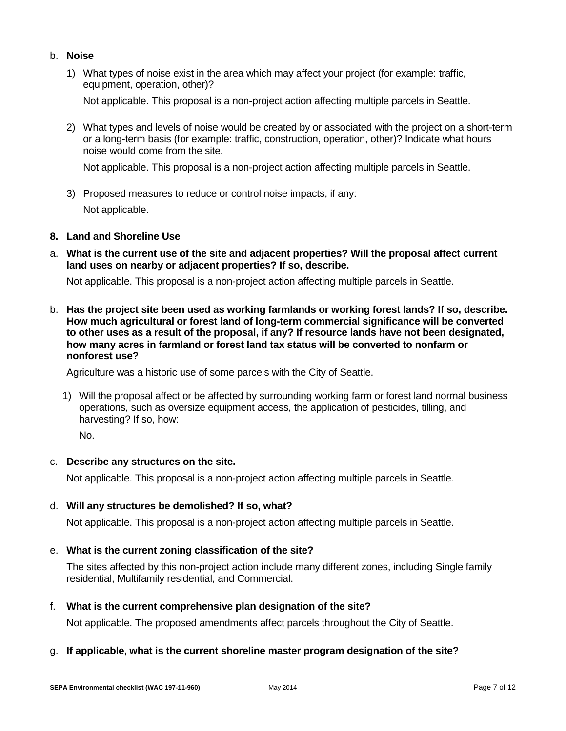- b. **Noise**
	- 1) What types of noise exist in the area which may affect your project (for example: traffic, equipment, operation, other)?

Not applicable. This proposal is a non-project action affecting multiple parcels in Seattle.

2) What types and levels of noise would be created by or associated with the project on a short-term or a long-term basis (for example: traffic, construction, operation, other)? Indicate what hours noise would come from the site.

Not applicable. This proposal is a non-project action affecting multiple parcels in Seattle.

3) Proposed measures to reduce or control noise impacts, if any: Not applicable.

#### **8. Land and Shoreline Use**

a. **What is the current use of the site and adjacent properties? Will the proposal affect current land uses on nearby or adjacent properties? If so, describe.**

Not applicable. This proposal is a non-project action affecting multiple parcels in Seattle.

b. **Has the project site been used as working farmlands or working forest lands? If so, describe. How much agricultural or forest land of long-term commercial significance will be converted to other uses as a result of the proposal, if any? If resource lands have not been designated, how many acres in farmland or forest land tax status will be converted to nonfarm or nonforest use?**

Agriculture was a historic use of some parcels with the City of Seattle.

1) Will the proposal affect or be affected by surrounding working farm or forest land normal business operations, such as oversize equipment access, the application of pesticides, tilling, and harvesting? If so, how:

No.

## c. **Describe any structures on the site.**

Not applicable. This proposal is a non-project action affecting multiple parcels in Seattle.

#### d. **Will any structures be demolished? If so, what?**

Not applicable. This proposal is a non-project action affecting multiple parcels in Seattle.

## e. **What is the current zoning classification of the site?**

The sites affected by this non-project action include many different zones, including Single family residential, Multifamily residential, and Commercial.

#### f. **What is the current comprehensive plan designation of the site?**

Not applicable. The proposed amendments affect parcels throughout the City of Seattle.

## g. **If applicable, what is the current shoreline master program designation of the site?**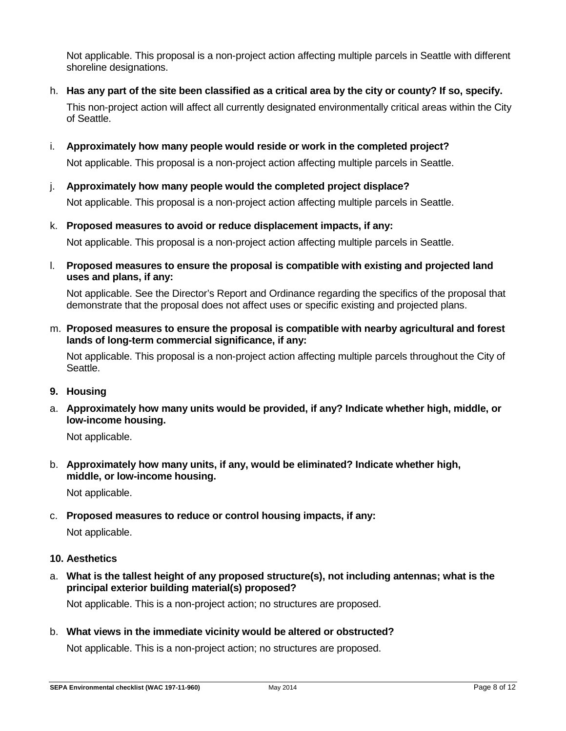Not applicable. This proposal is a non-project action affecting multiple parcels in Seattle with different shoreline designations.

h. **Has any part of the site been classified as a critical area by the city or county? If so, specify.**

This non-project action will affect all currently designated environmentally critical areas within the City of Seattle.

i. **Approximately how many people would reside or work in the completed project?**

Not applicable. This proposal is a non-project action affecting multiple parcels in Seattle.

j. **Approximately how many people would the completed project displace?**

Not applicable. This proposal is a non-project action affecting multiple parcels in Seattle.

k. **Proposed measures to avoid or reduce displacement impacts, if any:**

Not applicable. This proposal is a non-project action affecting multiple parcels in Seattle.

l. **Proposed measures to ensure the proposal is compatible with existing and projected land uses and plans, if any:**

Not applicable. See the Director's Report and Ordinance regarding the specifics of the proposal that demonstrate that the proposal does not affect uses or specific existing and projected plans.

m. **Proposed measures to ensure the proposal is compatible with nearby agricultural and forest lands of long-term commercial significance, if any:**

Not applicable. This proposal is a non-project action affecting multiple parcels throughout the City of Seattle.

- **9. Housing**
- a. **Approximately how many units would be provided, if any? Indicate whether high, middle, or low-income housing.**

Not applicable.

b. **Approximately how many units, if any, would be eliminated? Indicate whether high, middle, or low-income housing.**

Not applicable.

c. **Proposed measures to reduce or control housing impacts, if any:**

Not applicable.

## **10. Aesthetics**

a. **What is the tallest height of any proposed structure(s), not including antennas; what is the principal exterior building material(s) proposed?**

Not applicable. This is a non-project action; no structures are proposed.

b. **What views in the immediate vicinity would be altered or obstructed?**

Not applicable. This is a non-project action; no structures are proposed.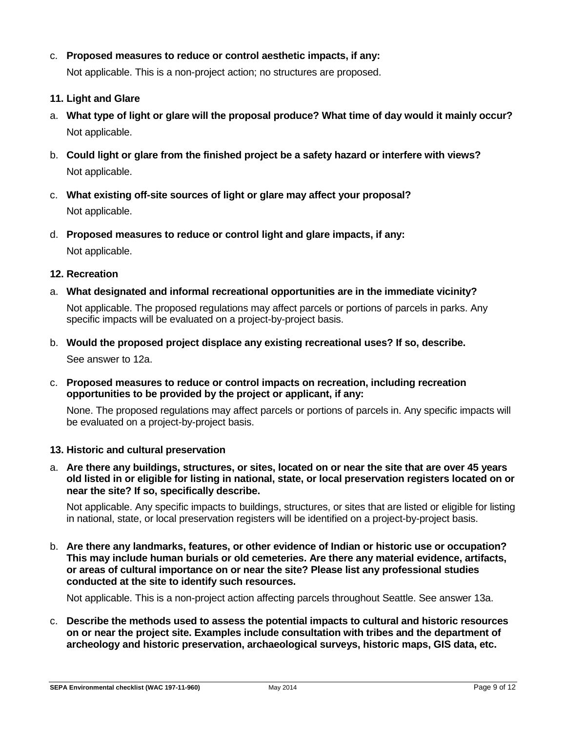## c. **Proposed measures to reduce or control aesthetic impacts, if any:**

Not applicable. This is a non-project action; no structures are proposed.

- **11. Light and Glare**
- a. **What type of light or glare will the proposal produce? What time of day would it mainly occur?** Not applicable.
- b. **Could light or glare from the finished project be a safety hazard or interfere with views?** Not applicable.
- c. **What existing off-site sources of light or glare may affect your proposal?** Not applicable.
- d. **Proposed measures to reduce or control light and glare impacts, if any:**

Not applicable.

- **12. Recreation**
- a. **What designated and informal recreational opportunities are in the immediate vicinity?** Not applicable. The proposed regulations may affect parcels or portions of parcels in parks. Any specific impacts will be evaluated on a project-by-project basis.
- b. **Would the proposed project displace any existing recreational uses? If so, describe.** See answer to 12a.
- c. **Proposed measures to reduce or control impacts on recreation, including recreation opportunities to be provided by the project or applicant, if any:**

None. The proposed regulations may affect parcels or portions of parcels in. Any specific impacts will be evaluated on a project-by-project basis.

#### **13. Historic and cultural preservation**

a. **Are there any buildings, structures, or sites, located on or near the site that are over 45 years old listed in or eligible for listing in national, state, or local preservation registers located on or near the site? If so, specifically describe.**

Not applicable. Any specific impacts to buildings, structures, or sites that are listed or eligible for listing in national, state, or local preservation registers will be identified on a project-by-project basis.

b. **Are there any landmarks, features, or other evidence of Indian or historic use or occupation? This may include human burials or old cemeteries. Are there any material evidence, artifacts, or areas of cultural importance on or near the site? Please list any professional studies conducted at the site to identify such resources.**

Not applicable. This is a non-project action affecting parcels throughout Seattle. See answer 13a.

c. **Describe the methods used to assess the potential impacts to cultural and historic resources on or near the project site. Examples include consultation with tribes and the department of archeology and historic preservation, archaeological surveys, historic maps, GIS data, etc.**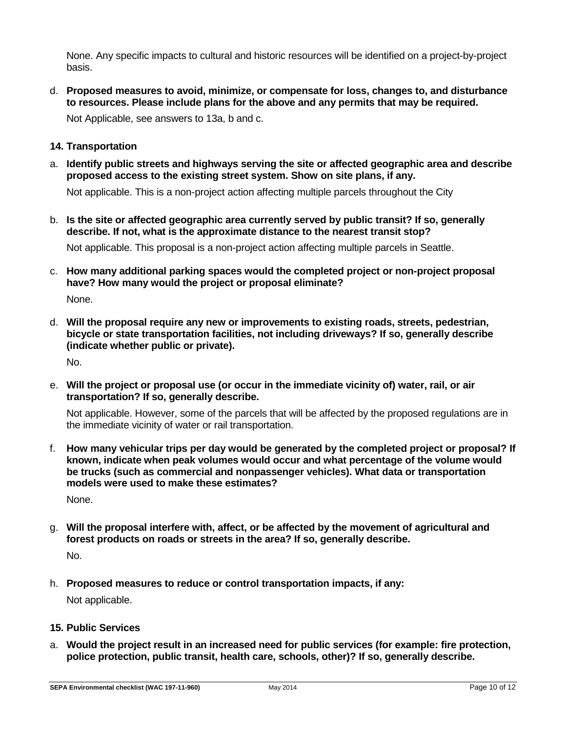None. Any specific impacts to cultural and historic resources will be identified on a project-by-project basis.

d. **Proposed measures to avoid, minimize, or compensate for loss, changes to, and disturbance to resources. Please include plans for the above and any permits that may be required.**

Not Applicable, see answers to 13a, b and c.

- **14. Transportation**
- a. **Identify public streets and highways serving the site or affected geographic area and describe proposed access to the existing street system. Show on site plans, if any.**

Not applicable. This is a non-project action affecting multiple parcels throughout the City

b. **Is the site or affected geographic area currently served by public transit? If so, generally describe. If not, what is the approximate distance to the nearest transit stop?**

Not applicable. This proposal is a non-project action affecting multiple parcels in Seattle.

c. **How many additional parking spaces would the completed project or non-project proposal have? How many would the project or proposal eliminate?**

None.

d. **Will the proposal require any new or improvements to existing roads, streets, pedestrian, bicycle or state transportation facilities, not including driveways? If so, generally describe (indicate whether public or private).**

No.

e. **Will the project or proposal use (or occu[r in the immediate vicinity of\) water, rail, or air](http://www.ecy.wa.gov/programs/sea/sepa/ChecklistGuidance.html%23Transportation)  transportation? If so, generally describe.**

Not applicable. However, some of the parcels that will be affected by the proposed regulations are in the immediate vicinity of water or rail transportation.

f. **How many vehicular trips per day would be generated by the completed project or proposal? If known, indicate when peak volumes would occur and what percentage of the volume would be trucks (such as commercial and nonpassenger vehicles). What data or transportation models were used to make these estimates?**

None.

g. **Will the proposal interfere with, affect, or be affected by the movement of agricultural and forest products on roads or streets in the area? If so, generally describe.**

No.

- h. **Proposed measures to reduce or control transportation impacts, if any:** Not applicable.
- **15. Public Services**
- a. **Would the project result in an increased need for public services (for example: fire protection, police protection, public transit, health care, schools, other)? If so, generally describe.**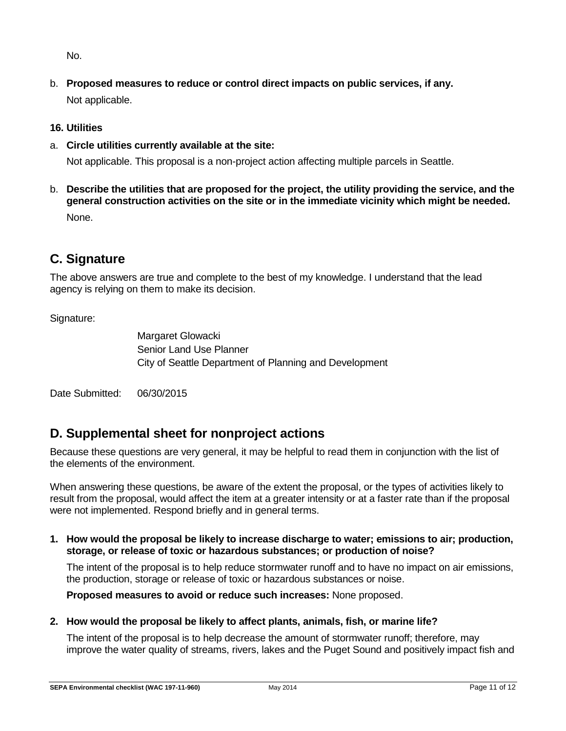No.

b. **Proposed measures to reduce or control direct impacts on public services, if any.** Not applicable.

## **16. Utilities**

a. **Circle utilities currently available at the site:** 

Not applicable. This proposal is a non-project action affecting multiple parcels in Seattle.

b. **Describe the utilities that are proposed for the project, the utility providing the service, and the general construction activities on the site or in the immediate vicinity which might be needed.** None.

# **C. Signature**

The above answers are true and complete to the best of my knowledge. I understand that the lead agency is relying on them to make its decision.

## Signature:

Margaret Glowacki Senior Land Use Planner City of Seattle Department of Planning and Development

Date Submitted: 06/30/2015

## **D. Supplemental sheet for nonproject actions**

Because these questions are very general, it may be helpful to read them in conjunction with the list of the elements of the environment.

When answering these questions, be aware of the extent the proposal, or the types of activities likely to result from the proposal, would affect the item at a greater intensity or at a faster rate than if the proposal were not implemented. Respond briefly and in general terms.

**1. How would the proposal be likely to increase discharge to water; emissions to air; production, storage, or release of toxic or hazardous substances; or production of noise?**

The intent of the proposal is to help reduce stormwater runoff and to have no impact on air emissions, the production, storage or release of toxic or hazardous substances or noise.

**Proposed measures to avoid or reduce such increases:** None proposed.

## **2. How would the proposal be likely to affect plants, animals, fish, or marine life?**

The intent of the proposal is to help decrease the amount of stormwater runoff; therefore, may improve the water quality of streams, rivers, lakes and the Puget Sound and positively impact fish and